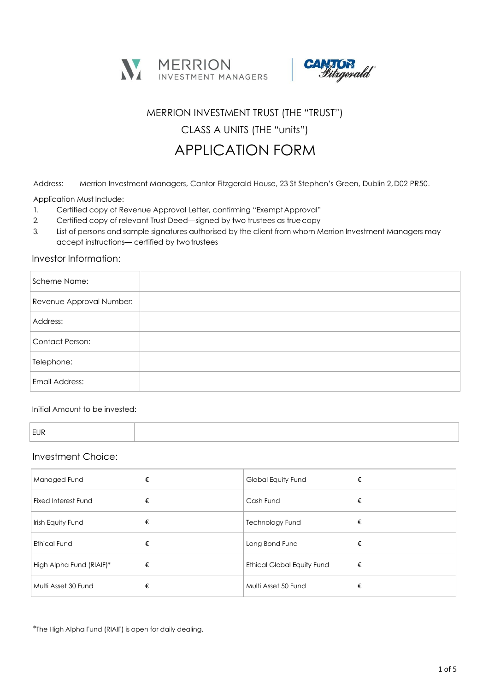



## MERRION INVESTMENT TRUST (THE "TRUST")

CLASS A UNITS (THE "units")

# APPLICATION FORM

Address: Merrion Investment Managers, Cantor Fitzgerald House, 23 St Stephen's Green, Dublin 2,D02 PR50.

Application Must Include:

- 1. Certified copy of Revenue Approval Letter, confirming "Exempt Approval"
- 2. Certified copy of relevant Trust Deed—signed by two trustees as truecopy
- 3. List of persons and sample signatures authorised by the client from whom Merrion Investment Managers may accept instructions— certified by two trustees

### Investor Information:

| Scheme Name:             |  |
|--------------------------|--|
| Revenue Approval Number: |  |
| Address:                 |  |
| Contact Person:          |  |
| Telephone:               |  |
| Email Address:           |  |

### Initial Amount to be invested:

| ιIΝ |
|-----|
|-----|

### Investment Choice:

| Managed Fund                    | Global Equity Fund                |
|---------------------------------|-----------------------------------|
| €                               | €                                 |
| <b>Fixed Interest Fund</b><br>€ | Cash Fund                         |
| Irish Equity Fund               | Technology Fund                   |
| €                               | €                                 |
| <b>Ethical Fund</b>             | Long Bond Fund                    |
| €                               | €                                 |
| High Alpha Fund (RIAIF)*        | <b>Ethical Global Equity Fund</b> |
| €                               | €                                 |
| Multi Asset 30 Fund             | Multi Asset 50 Fund               |
| €                               | €                                 |

\*The High Alpha Fund (RIAIF) is open for daily dealing.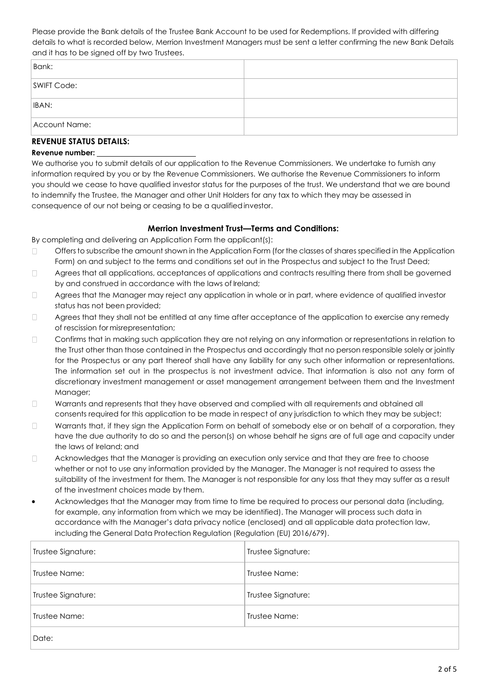Please provide the Bank details of the Trustee Bank Account to be used for Redemptions. If provided with differing details to what is recorded below, Merrion Investment Managers must be sent a letter confirming the new Bank Details and it has to be signed off by two Trustees.

| Bank:              |  |  |  |
|--------------------|--|--|--|
| <b>SWIFT Code:</b> |  |  |  |
| IBAN:              |  |  |  |
| Account Name:      |  |  |  |
|                    |  |  |  |

### **REVENUE STATUS DETAILS:**

#### **Revenue number:**

We authorise you to submit details of our application to the Revenue Commissioners. We undertake to furnish any information required by you or by the Revenue Commissioners. We authorise the Revenue Commissioners to inform you should we cease to have qualified investor status for the purposes of the trust. We understand that we are bound to indemnify the Trustee, the Manager and other Unit Holders for any tax to which they may be assessed in consequence of our not being or ceasing to be a qualifiedinvestor.

### **Merrion Investment Trust—Terms and Conditions:**

By completing and delivering an Application Form the applicant(s):

- $\Box$ Offers to subscribe the amount shown in the Application Form (for the classes of shares specified in the Application Form) on and subject to the terms and conditions set out in the Prospectus and subject to the Trust Deed;
- Agrees that all applications, acceptances of applications and contracts resulting there from shall be governed  $\Box$ by and construed in accordance with the laws of Ireland;
- $\Box$ Agrees that the Manager may reject any application in whole or in part, where evidence of qualified investor status has not been provided;
- Agrees that they shall not be entitled at any time after acceptance of the application to exercise any remedy  $\Box$ of rescission for misrepresentation;
- $\Box$ Confirms that in making such application they are not relying on any information or representations in relation to the Trust other than those contained in the Prospectus and accordingly that no person responsible solely or jointly for the Prospectus or any part thereof shall have any liability for any such other information or representations. The information set out in the prospectus is not investment advice. That information is also not any form of discretionary investment management or asset management arrangement between them and the Investment Manager;
- $\Box$ Warrants and represents that they have observed and complied with all requirements and obtained all consents required for this application to be made in respect of any jurisdiction to which they may be subject;
- $\Box$ Warrants that, if they sign the Application Form on behalf of somebody else or on behalf of a corporation, they have the due authority to do so and the person(s) on whose behalf he signs are of full age and capacity under the laws of Ireland; and
- Acknowledges that the Manager is providing an execution only service and that they are free to choose  $\Box$ whether or not to use any information provided by the Manager. The Manager is not required to assess the suitability of the investment for them. The Manager is not responsible for any loss that they may suffer as a result of the investment choices made by them.
- Acknowledges that the Manager may from time to time be required to process our personal data (including, for example, any information from which we may be identified). The Manager will process such data in accordance with the Manager's data privacy notice (enclosed) and all applicable data protection law, including the General Data Protection Regulation (Regulation (EU) 2016/679).

| Trustee Signature: | Trustee Signature: |
|--------------------|--------------------|
| Trustee Name:      | Trustee Name:      |
| Trustee Signature: | Trustee Signature: |
| Trustee Name:      | Trustee Name:      |
| Date:              |                    |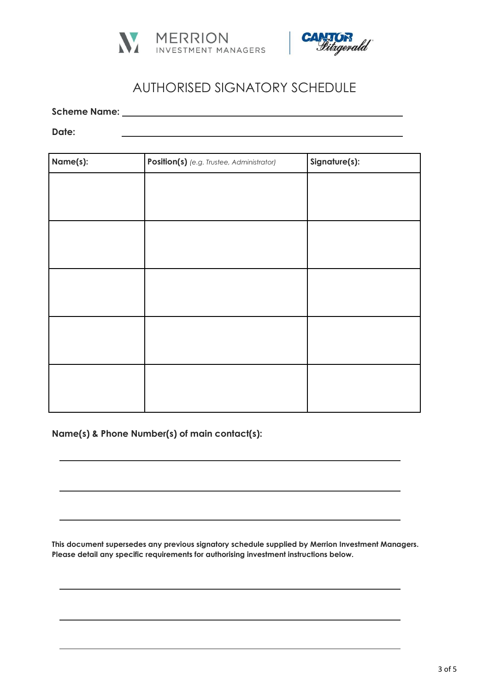



# AUTHORISED SIGNATORY SCHEDULE

**Scheme Name:**

**Date:**

| Name(s): | Position(s) (e.g. Trustee, Administrator) | Signature(s): |
|----------|-------------------------------------------|---------------|
|          |                                           |               |
|          |                                           |               |
|          |                                           |               |
|          |                                           |               |
|          |                                           |               |
|          |                                           |               |
|          |                                           |               |
|          |                                           |               |
|          |                                           |               |
|          |                                           |               |
|          |                                           |               |
|          |                                           |               |
|          |                                           |               |

**Name(s) & Phone Number(s) of main contact(s):**

**This document supersedes any previous signatory schedule supplied by Merrion Investment Managers. Please detail any specific requirements for authorising investment instructions below.**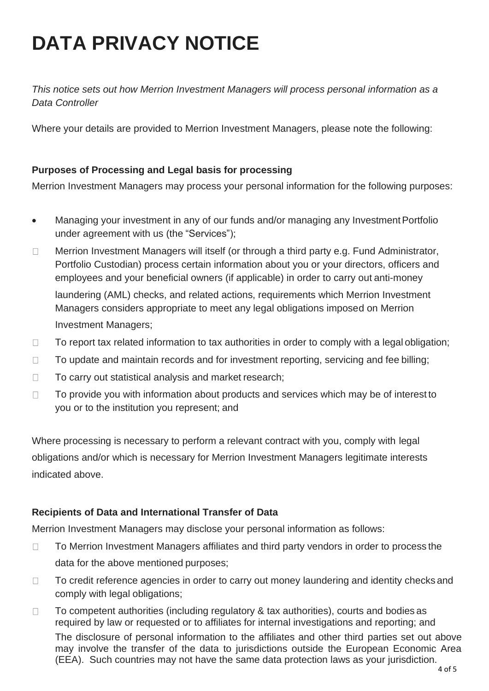# **DATA PRIVACY NOTICE**

*This notice sets out how Merrion Investment Managers will process personal information as a Data Controller*

Where your details are provided to Merrion Investment Managers, please note the following:

# **Purposes of Processing and Legal basis for processing**

Merrion Investment Managers may process your personal information for the following purposes:

- Managing your investment in any of our funds and/or managing any Investment Portfolio under agreement with us (the "Services");
- Merrion Investment Managers will itself (or through a third party e.g. Fund Administrator,  $\Box$ Portfolio Custodian) process certain information about you or your directors, officers and employees and your beneficial owners (if applicable) in order to carry out anti-money laundering (AML) checks, and related actions, requirements which Merrion Investment Managers considers appropriate to meet any legal obligations imposed on Merrion Investment Managers;
- $\Box$ To report tax related information to tax authorities in order to comply with a legal obligation;
- To update and maintain records and for investment reporting, servicing and fee billing;  $\Box$
- To carry out statistical analysis and market research;  $\Box$
- To provide you with information about products and services which may be of interest to  $\Box$ you or to the institution you represent; and

Where processing is necessary to perform a relevant contract with you, comply with legal obligations and/or which is necessary for Merrion Investment Managers legitimate interests indicated above.

# **Recipients of Data and International Transfer of Data**

Merrion Investment Managers may disclose your personal information as follows:

- To Merrion Investment Managers affiliates and third party vendors in order to process the  $\Box$ data for the above mentioned purposes;
- To credit reference agencies in order to carry out money laundering and identity checks and  $\Box$ comply with legal obligations;
- $\Box$ To competent authorities (including regulatory & tax authorities), courts and bodies as required by law or requested or to affiliates for internal investigations and reporting; and The disclosure of personal information to the affiliates and other third parties set out above may involve the transfer of the data to jurisdictions outside the European Economic Area (EEA). Such countries may not have the same data protection laws as your jurisdiction.